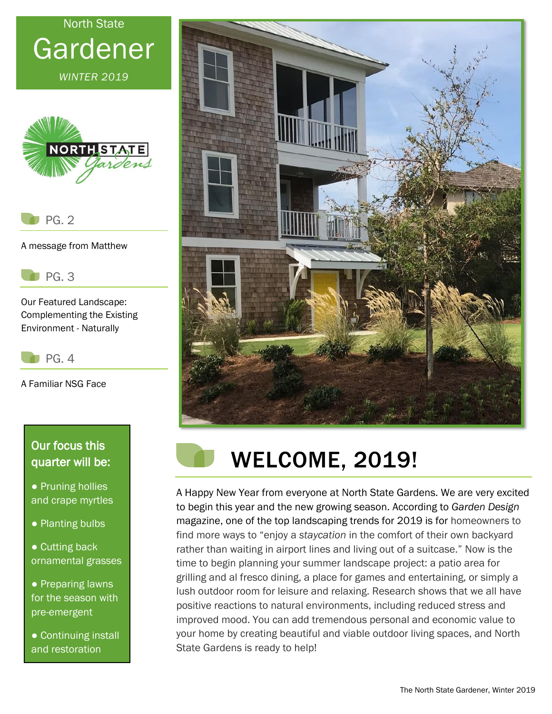# North State Gardener

*WINTER 2019*



PG. 2

A message from Matthew

PG. 3

Our Featured Landscape: Complementing the Existing Environment - Naturally

 $P<sub>G</sub>$ . 4

A Familiar NSG Face

#### Our focus this quarter will be:

- Pruning hollies and crape myrtles
- Planting bulbs
- Cutting back ornamental grasses

● Preparing lawns for the season with pre-emergent

● Continuing install and restoration





## WELCOME, 2019!

A Happy New Year from everyone at North State Gardens. We are very excited to begin this year and the new growing season. According to *Garden Design* magazine, one of the top landscaping trends for 2019 is for homeowners to find more ways to "enjoy a *staycation* in the comfort of their own backyard rather than waiting in airport lines and living out of a suitcase." Now is the time to begin planning your summer landscape project: a patio area for grilling and al fresco dining, a place for games and entertaining, or simply a lush outdoor room for leisure and relaxing. Research shows that we all have positive reactions to natural environments, including reduced stress and improved mood. You can add tremendous personal and economic value to your home by creating beautiful and viable outdoor living spaces, and North State Gardens is ready to help!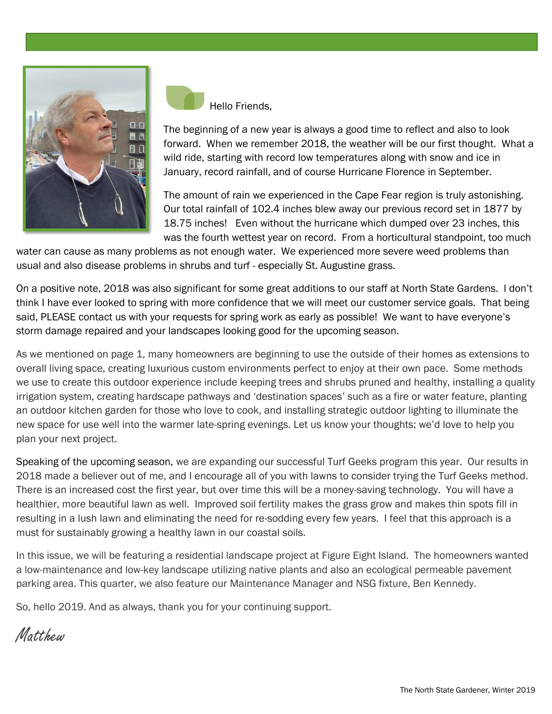



The beginning of a new year is always a good time to reflect and also to look forward. When we remember 2018, the weather will be our first thought. What a wild ride, starting with record low temperatures along with snow and ice in January, record rainfall, and of course Hurricane Florence in September.

The amount of rain we experienced in the Cape Fear region is truly astonishing. Our total rainfall of 102.4 inches blew away our previous record set in 1877 by 18.75 inches! Even without the hurricane which dumped over 23 inches, this was the fourth wettest year on record. From a horticultural standpoint, too much

water can cause as many problems as not enough water. We experienced more severe weed problems than usual and also disease problems in shrubs and turf - especially St. Augustine grass.

On a positive note, 2018 was also significant for some great additions to our staff at North State Gardens. I don't think I have ever looked to spring with more confidence that we will meet our customer service goals. That being said, PLEASE contact us with your requests for spring work as early as possible! We want to have everyone's storm damage repaired and your landscapes looking good for the upcoming season.

As we mentioned on page 1, many homeowners are beginning to use the outside of their homes as extensions to overall living space, creating luxurious custom environments perfect to enjoy at their own pace. Some methods we use to create this outdoor experience include keeping trees and shrubs pruned and healthy, installing a quality irrigation system, creating hardscape pathways and 'destination spaces' such as a fire or water feature, planting an outdoor kitchen garden for those who love to cook, and installing strategic outdoor lighting to illuminate the new space for use well into the warmer late-spring evenings. Let us know your thoughts; we'd love to help you plan your next project.

Speaking of the upcoming season, we are expanding our successful Turf Geeks program this year. Our results in 2018 made a believer out of me, and I encourage all of you with lawns to consider trying the Turf Geeks method. There is an increased cost the first year, but over time this will be a money-saving technology. You will have a healthier, more beautiful lawn as well. Improved soil fertility makes the grass grow and makes thin spots fill in resulting in a lush lawn and eliminating the need for re-sodding every few years. I feel that this approach is a must for sustainably growing a healthy lawn in our coastal soils.

In this issue, we will be featuring a residential landscape project at Figure Eight Island. The homeowners wanted a low-maintenance and low-key landscape utilizing native plants and also an ecological permeable pavement parking area. This quarter, we also feature our Maintenance Manager and NSG fixture, Ben Kennedy.

So, hello 2019. And as always, thank you for your continuing support.

Matthew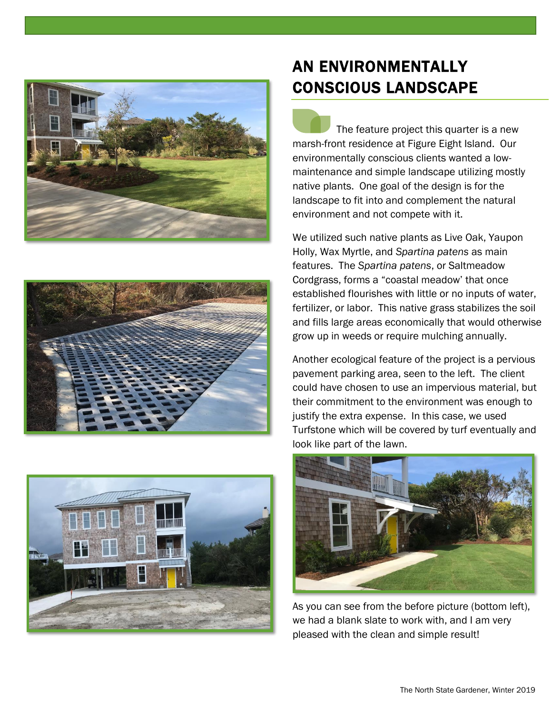





#### AN ENVIRONMENTALLY CONSCIOUS LANDSCAPE

 The feature project this quarter is a new marsh-front residence at Figure Eight Island. Our environmentally conscious clients wanted a lowmaintenance and simple landscape utilizing mostly native plants. One goal of the design is for the landscape to fit into and complement the natural environment and not compete with it.

We utilized such native plants as Live Oak, Yaupon Holly, Wax Myrtle, and *Spartina patens* as main features. The *Spartina patens*, or Saltmeadow Cordgrass, forms a "coastal meadow' that once established flourishes with little or no inputs of water, fertilizer, or labor. This native grass stabilizes the soil and fills large areas economically that would otherwise grow up in weeds or require mulching annually.

Another ecological feature of the project is a pervious pavement parking area, seen to the left. The client could have chosen to use an impervious material, but their commitment to the environment was enough to justify the extra expense. In this case, we used Turfstone which will be covered by turf eventually and look like part of the lawn.



As you can see from the before picture (bottom left), we had a blank slate to work with, and I am very pleased with the clean and simple result!